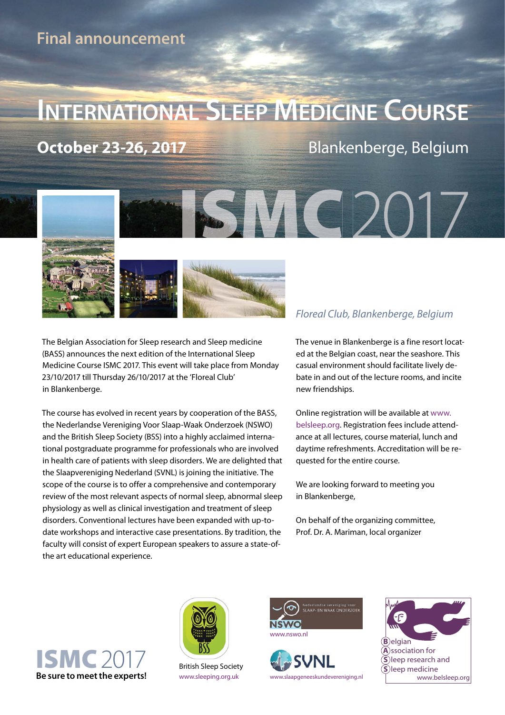## **INTERNATIONAL SLEEP MEDICINE COURSE**

**October 23-26, 2017** Blankenberge, Belgium



The Belgian Association for Sleep research and Sleep medicine (BASS) announces the next edition of the International Sleep Medicine Course ISMC 2017. This event will take place from Monday 23/10/2017 till Thursday 26/10/2017 at the 'Floreal Club' in Blankenberge.

The course has evolved in recent years by cooperation of the BASS, the Nederlandse Vereniging Voor Slaap-Waak Onderzoek (NSWO) and the British Sleep Society (BSS) into a highly acclaimed international postgraduate programme for professionals who are involved in health care of patients with sleep disorders. We are delighted that the Slaapvereniging Nederland (SVNL) is joining the initiative. The scope of the course is to offer a comprehensive and contemporary review of the most relevant aspects of normal sleep, abnormal sleep physiology as well as clinical investigation and treatment of sleep disorders. Conventional lectures have been expanded with up-todate workshops and interactive case presentations. By tradition, the faculty will consist of expert European speakers to assure a state-ofthe art educational experience.

The venue in Blankenberge is a fine resort located at the Belgian coast, near the seashore. This casual environment should facilitate lively debate in and out of the lecture rooms, and incite new friendships.

Online registration will be available at www. belsleep.org. Registration fees include attendance at all lectures, course material, lunch and daytime refreshments. Accreditation will be requested for the entire course.

We are looking forward to meeting you in Blankenberge,

On behalf of the organizing committee, Prof. Dr. A. Mariman, local organizer





British Sleep Society





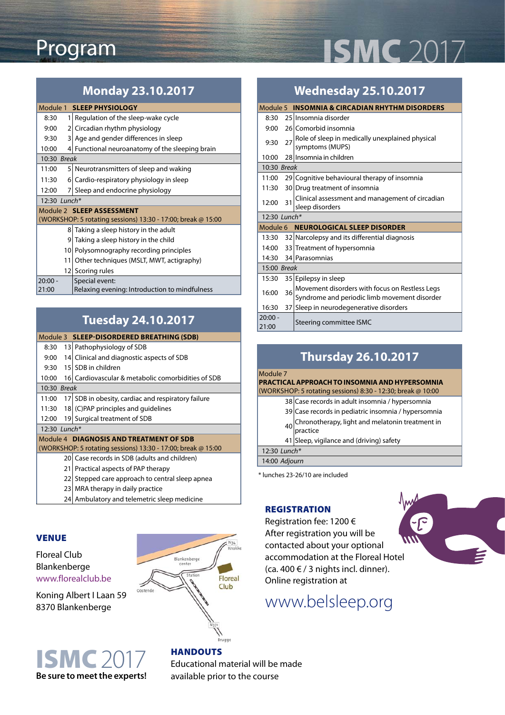# **ISMC** 2017

### Program

#### **Monday 23.10.2017**

| Module 1 SLEEP PHYSIOLOGY                                    |                                                 |  |  |  |
|--------------------------------------------------------------|-------------------------------------------------|--|--|--|
| 8:30<br>1                                                    | Regulation of the sleep-wake cycle              |  |  |  |
| 9:00<br>$\overline{2}$                                       | Circadian rhythm physiology                     |  |  |  |
| 9:30<br>$\overline{3}$                                       | Age and gender differences in sleep             |  |  |  |
| 10:00                                                        | 4 Functional neuroanatomy of the sleeping brain |  |  |  |
| 10:30 Break                                                  |                                                 |  |  |  |
| 11:00                                                        | 5 Neurotransmitters of sleep and waking         |  |  |  |
| 11:30<br>61                                                  | Cardio-respiratory physiology in sleep          |  |  |  |
| 12:00<br>71                                                  | Sleep and endocrine physiology                  |  |  |  |
| 12:30 Lunch*                                                 |                                                 |  |  |  |
| Module 2 SI FFP ASSESSMENT                                   |                                                 |  |  |  |
| (WORKSHOP: 5 rotating sessions) 13:30 - 17:00; break @ 15:00 |                                                 |  |  |  |
| 8                                                            | Taking a sleep history in the adult             |  |  |  |
| 9                                                            | Taking a sleep history in the child             |  |  |  |
| 10I                                                          | Polysomnography recording principles            |  |  |  |
| 11                                                           | Other techniques (MSLT, MWT, actigraphy)        |  |  |  |
| 121                                                          | Scoring rules                                   |  |  |  |
| $20:00 -$                                                    | Special event:                                  |  |  |  |
| 21:00                                                        | Relaxing evening: Introduction to mindfulness   |  |  |  |

### **Tuesday 24.10.2017**

#### Module 3 **SLEEP-DISORDERED BREATHING (SDB)** 8:30 13 Pathophysiology of SDB 9:00 14 Clinical and diagnostic aspects of SDB 9:30 15 SDB in children 10:00 16 Cardiovascular & metabolic comorbidities of SDB 10:30 Break 11:00 17 SDB in obesity, cardiac and respiratory failure 11:30 18  $(C)$ PAP principles and guidelines 12:00 19 Surgical treatment of SDB 12:30 Lunch\* Module 4 **DIAGNOSIS AND TREATMENT OF SDB**  (WORKSHOP: 5 rotating sessions) 13:30 - 17:00; break @ 15:00 20 Case records in SDB (adults and children) 21 Practical aspects of PAP therapy 22 Stepped care approach to central sleep apnea

- 23 MRA therapy in daily practice
- 24 Ambulatory and telemetric sleep medicine

#### **VENUE**

#### Floreal Club Blankenberge www.florealclub.be

Koning Albert I Laan 59 8370 Blankenberge





#### **HANDOUTS**

Educational material will be made

### **Wednesday 25.10.2017**

|                                      |                 | Module 5 INSOMNIA & CIRCADIAN RHYTHM DISORDERS                                                 |  |  |
|--------------------------------------|-----------------|------------------------------------------------------------------------------------------------|--|--|
| 8:30                                 |                 | 25 Insomnia disorder                                                                           |  |  |
| 9:00                                 |                 | 26 Comorbid insomnia                                                                           |  |  |
| 9:30                                 | 27              | Role of sleep in medically unexplained physical<br>symptoms (MUPS)                             |  |  |
| 10:00                                |                 | 28 Insomnia in children                                                                        |  |  |
| 10:30 Break                          |                 |                                                                                                |  |  |
| 11:00                                |                 | 29 Cognitive behavioural therapy of insomnia                                                   |  |  |
| 11:30                                |                 | 30 Drug treatment of insomnia                                                                  |  |  |
| 12:00                                | 31              | Clinical assessment and management of circadian<br>sleep disorders                             |  |  |
| 12:30 Lunch*                         |                 |                                                                                                |  |  |
| Module 6 NEUROLOGICAL SLEEP DISORDER |                 |                                                                                                |  |  |
| 13:30                                |                 | 32 Narcolepsy and its differential diagnosis                                                   |  |  |
| 14:00                                |                 | 33 Treatment of hypersomnia                                                                    |  |  |
| 14:30                                |                 | 34 Parasomnias                                                                                 |  |  |
| 15:00 Break                          |                 |                                                                                                |  |  |
| 15:30                                |                 | 35 Epilepsy in sleep                                                                           |  |  |
| 16:00                                | 36              | Movement disorders with focus on Restless Legs<br>Syndrome and periodic limb movement disorder |  |  |
| 16:30                                | 37 <sup>1</sup> | Sleep in neurodegenerative disorders                                                           |  |  |
| $20:00 -$<br>21:00                   |                 | Steering committee ISMC                                                                        |  |  |

| <b>Thursday 26.10.2017</b>                     |                                                             |  |
|------------------------------------------------|-------------------------------------------------------------|--|
| Module 7                                       |                                                             |  |
| PRACTICAL APPROACH TO INSOMNIA AND HYPERSOMNIA |                                                             |  |
|                                                | (WORKSHOP: 5 rotating sessions) 8:30 - 12:30; break @ 10:00 |  |
|                                                | 38 Case records in adult insomnia / hypersomnia             |  |
|                                                | 39 Case records in pediatric insomnia / hypersomnia         |  |
| 40                                             | Chronotherapy, light and melatonin treatment in<br>practice |  |
|                                                | 41 Sleep, vigilance and (driving) safety                    |  |
| 12:30 Lunch*                                   |                                                             |  |
| 14:00 Adjourn                                  |                                                             |  |

**REGISTRATION FEE** \* lunches 23-26/10 are included

#### **REGISTRATION**

Registration fee: 1200 € After registration you will be contacted about your optional accommodation at the Floreal Hotel (ca. 400  $\in$  / 3 nights incl. dinner). Online registration at

## [www.belsleep.org](http://belsleep.org/education.aspx)